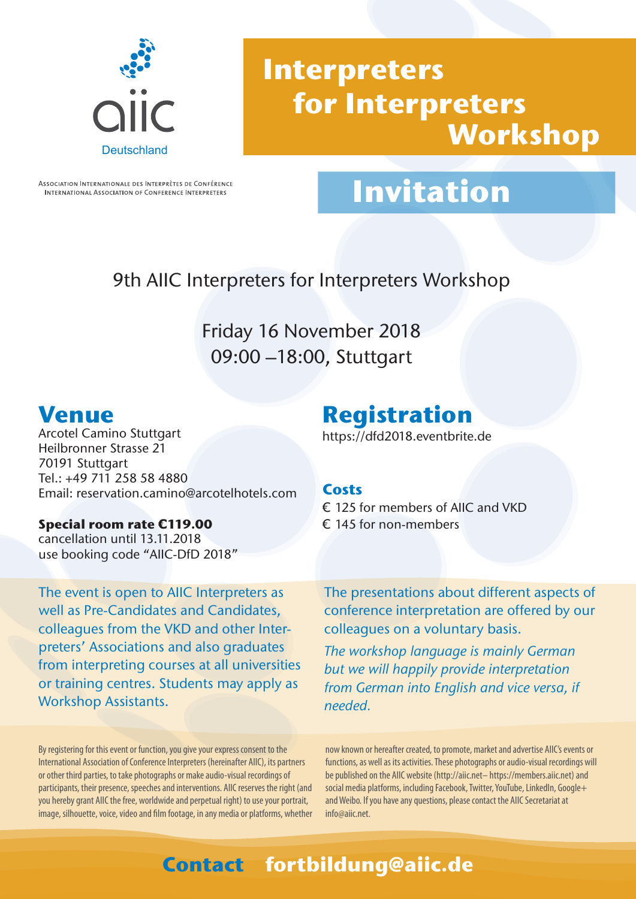

# **Interpreters for Interpreters Workshop**

ASSOCIATION INTERNATIONALE DES INTERPRÈTES DE CONFÉRENCE INTERNATIONAL ASSOCIATION OF CONFERENCE INTERPRETERS

# **Invitation**

### 9th AIIC Interpreters for Interpreters Workshop

Friday 16 November 2018 09:00 –18:00, Stuttgart

### **Venue**

Arcotel Camino Stuttgart Heilbronner Strasse 21 70191 Stuttgart Tel.: +49 711 258 58 4880 Email: reservation.camino@arcotelhotels.com

#### **Special room rate €119.00**

cancellation until 13.11.2018 use booking code "AIIC-DfD 2018"

The event is open to AIIC Interpreters as well as Pre-Candidates and Candidates, colleagues from the VKD and other Interpreters' Associations and also graduates from interpreting courses at all universities or training centres. Students may apply as Workshop Assistants.

By registering for this event or function, you give your express consent to the International Association of Conference Interpreters (hereinafter AIIC), its partners or other third parties, to take photographs or make audio-visual recordings of participants, their presence, speeches and interventions. AIIC reserves the right (and you hereby grant AIIC the free, worldwide and perpetual right) to use your portrait, image, silhouette, voice, video and film footage, in any media or platforms, whether

## **Registration**

https://dfd2018.eventbrite.de

#### **Costs**

€ 125 for members of AIIC and VKD € 145 for non-members

The presentations about different aspects of conference interpretation are offered by our colleagues on a voluntary basis.

*The workshop language is mainly German but we will happily provide interpretation from German into English and vice versa, if needed.*

now known or hereafter created, to promote, market and advertise AIIC's events or functions, as well as its activities. These photographs or audio-visual recordings will be published on the AIIC website (http://aiic.net– https://members.aiic.net) and social media platforms, including Facebook, Twitter, YouTube, LinkedIn, Google+ and Weibo. If you have any questions, please contact the AIIC Secretariat at info@aiic.net.

## **Contact fortbildung@aiic.de**